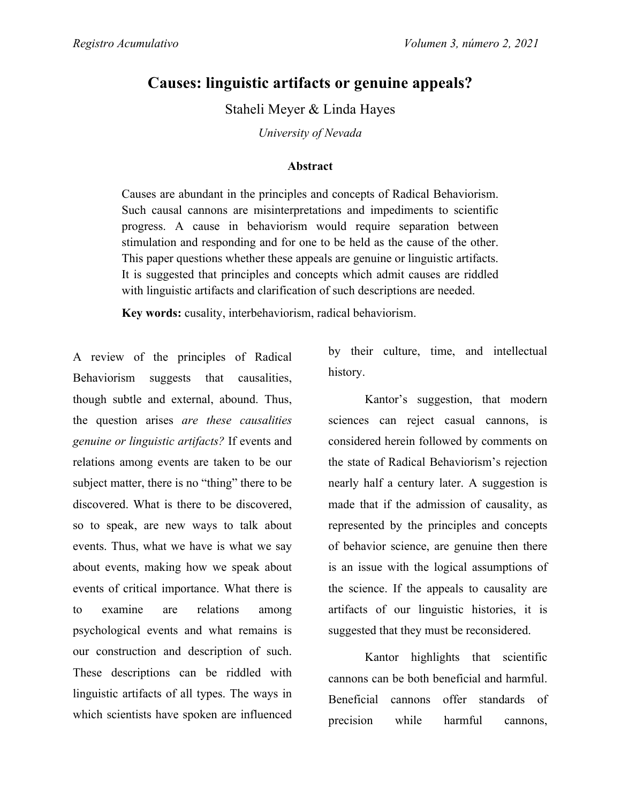## **Causes: linguistic artifacts or genuine appeals?**

Staheli Meyer & Linda Hayes

*University of Nevada*

## **Abstract**

Causes are abundant in the principles and concepts of Radical Behaviorism. Such causal cannons are misinterpretations and impediments to scientific progress. A cause in behaviorism would require separation between stimulation and responding and for one to be held as the cause of the other. This paper questions whether these appeals are genuine or linguistic artifacts. It is suggested that principles and concepts which admit causes are riddled with linguistic artifacts and clarification of such descriptions are needed.

**Key words:** cusality, interbehaviorism, radical behaviorism.

A review of the principles of Radical Behaviorism suggests that causalities, though subtle and external, abound. Thus, the question arises *are these causalities genuine or linguistic artifacts?* If events and relations among events are taken to be our subject matter, there is no "thing" there to be discovered. What is there to be discovered, so to speak, are new ways to talk about events. Thus, what we have is what we say about events, making how we speak about events of critical importance. What there is to examine are relations among psychological events and what remains is our construction and description of such. These descriptions can be riddled with linguistic artifacts of all types. The ways in which scientists have spoken are influenced

by their culture, time, and intellectual history.

Kantor's suggestion, that modern sciences can reject casual cannons, is considered herein followed by comments on the state of Radical Behaviorism's rejection nearly half a century later. A suggestion is made that if the admission of causality, as represented by the principles and concepts of behavior science, are genuine then there is an issue with the logical assumptions of the science. If the appeals to causality are artifacts of our linguistic histories, it is suggested that they must be reconsidered.

Kantor highlights that scientific cannons can be both beneficial and harmful. Beneficial cannons offer standards of precision while harmful cannons,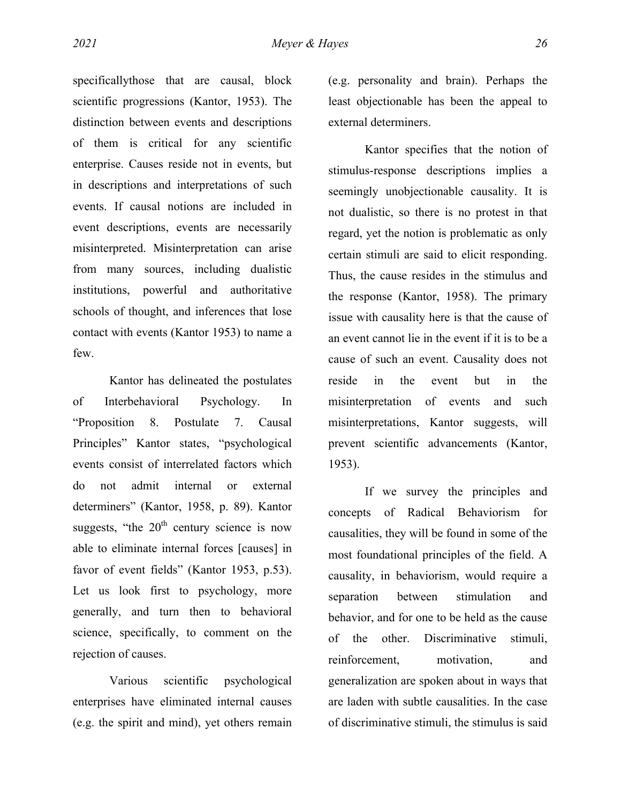specificallythose that are causal, block scientific progressions (Kantor, 1953). The distinction between events and descriptions of them is critical for any scientific enterprise. Causes reside not in events, but in descriptions and interpretations of such events. If causal notions are included in event descriptions, events are necessarily misinterpreted. Misinterpretation can arise from many sources, including dualistic institutions, powerful and authoritative schools of thought, and inferences that lose contact with events (Kantor 1953) to name a few.

Kantor has delineated the postulates of Interbehavioral Psychology. In "Proposition 8. Postulate 7. Causal Principles" Kantor states, "psychological events consist of interrelated factors which do not admit internal or external determiners" (Kantor, 1958, p. 89). Kantor suggests, "the  $20<sup>th</sup>$  century science is now able to eliminate internal forces [causes] in favor of event fields" (Kantor 1953, p.53). Let us look first to psychology, more generally, and turn then to behavioral science, specifically, to comment on the rejection of causes.

Various scientific psychological enterprises have eliminated internal causes (e.g. the spirit and mind), yet others remain (e.g. personality and brain). Perhaps the least objectionable has been the appeal to external determiners.

Kantor specifies that the notion of stimulus-response descriptions implies a seemingly unobjectionable causality. It is not dualistic, so there is no protest in that regard, yet the notion is problematic as only certain stimuli are said to elicit responding. Thus, the cause resides in the stimulus and the response (Kantor, 1958). The primary issue with causality here is that the cause of an event cannot lie in the event if it is to be a cause of such an event. Causality does not reside in the event but in the misinterpretation of events and such misinterpretations, Kantor suggests, will prevent scientific advancements (Kantor, 1953).

If we survey the principles and concepts of Radical Behaviorism for causalities, they will be found in some of the most foundational principles of the field. A causality, in behaviorism, would require a separation between stimulation and behavior, and for one to be held as the cause of the other. Discriminative stimuli, reinforcement, motivation, and generalization are spoken about in ways that are laden with subtle causalities. In the case of discriminative stimuli, the stimulus is said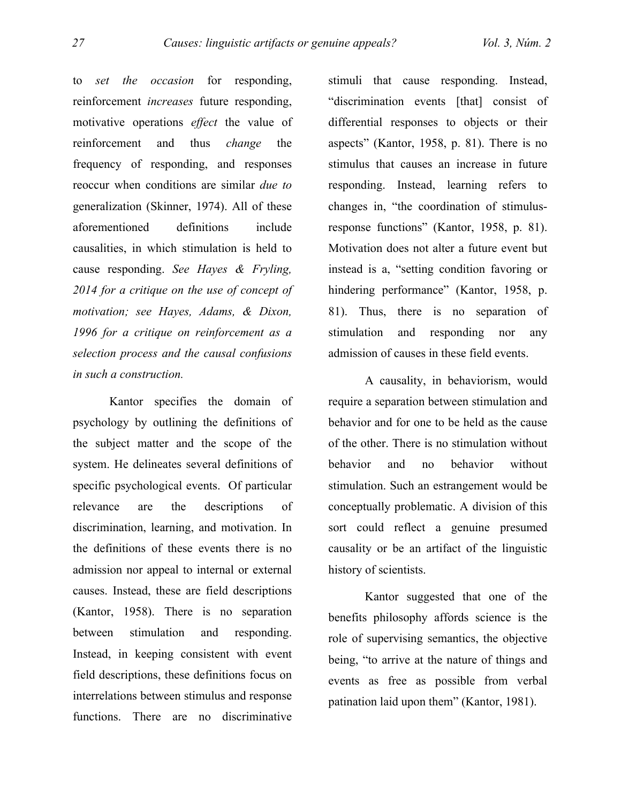to *set the occasion* for responding, reinforcement *increases* future responding, motivative operations *effect* the value of reinforcement and thus *change* the frequency of responding, and responses reoccur when conditions are similar *due to* generalization (Skinner, 1974). All of these aforementioned definitions include causalities, in which stimulation is held to cause responding. *See Hayes & Fryling, 2014 for a critique on the use of concept of motivation; see Hayes, Adams, & Dixon, 1996 for a critique on reinforcement as a selection process and the causal confusions in such a construction.*

Kantor specifies the domain of psychology by outlining the definitions of the subject matter and the scope of the system. He delineates several definitions of specific psychological events. Of particular relevance are the descriptions of discrimination, learning, and motivation. In the definitions of these events there is no admission nor appeal to internal or external causes. Instead, these are field descriptions (Kantor, 1958). There is no separation between stimulation and responding. Instead, in keeping consistent with event field descriptions, these definitions focus on interrelations between stimulus and response functions. There are no discriminative stimuli that cause responding. Instead, "discrimination events [that] consist of differential responses to objects or their aspects" (Kantor, 1958, p. 81). There is no stimulus that causes an increase in future responding. Instead, learning refers to changes in, "the coordination of stimulusresponse functions" (Kantor, 1958, p. 81). Motivation does not alter a future event but instead is a, "setting condition favoring or hindering performance" (Kantor, 1958, p. 81). Thus, there is no separation of stimulation and responding nor any admission of causes in these field events.

A causality, in behaviorism, would require a separation between stimulation and behavior and for one to be held as the cause of the other. There is no stimulation without behavior and no behavior without stimulation. Such an estrangement would be conceptually problematic. A division of this sort could reflect a genuine presumed causality or be an artifact of the linguistic history of scientists.

Kantor suggested that one of the benefits philosophy affords science is the role of supervising semantics, the objective being, "to arrive at the nature of things and events as free as possible from verbal patination laid upon them" (Kantor, 1981).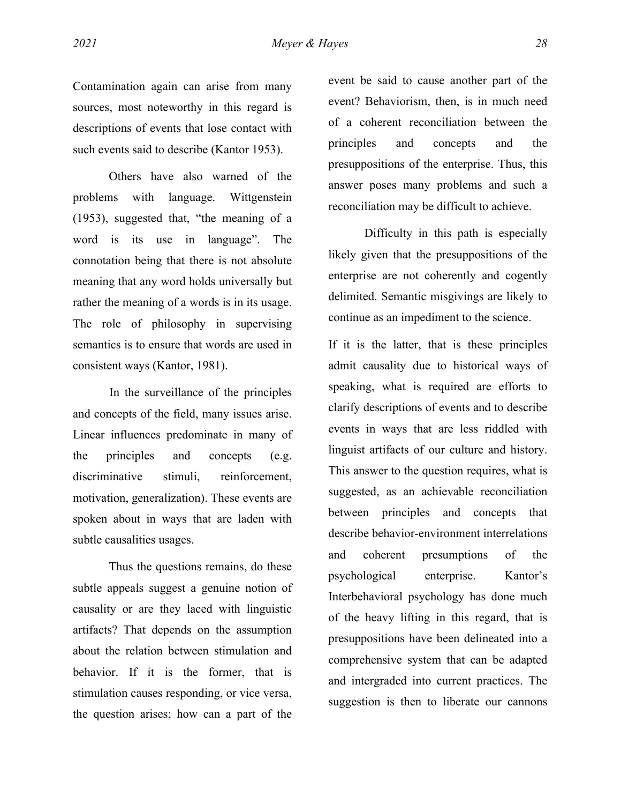Contamination again can arise from many sources, most noteworthy in this regard is descriptions of events that lose contact with such events said to describe (Kantor 1953).

Others have also warned of the problems with language. Wittgenstein (1953), suggested that, "the meaning of a word is its use in language". The connotation being that there is not absolute meaning that any word holds universally but rather the meaning of a words is in its usage. The role of philosophy in supervising semantics is to ensure that words are used in consistent ways (Kantor, 1981).

In the surveillance of the principles and concepts of the field, many issues arise. Linear influences predominate in many of the principles and concepts (e.g. discriminative stimuli, reinforcement, motivation, generalization). These events are spoken about in ways that are laden with subtle causalities usages.

Thus the questions remains, do these subtle appeals suggest a genuine notion of causality or are they laced with linguistic artifacts? That depends on the assumption about the relation between stimulation and behavior. If it is the former, that is stimulation causes responding, or vice versa, the question arises; how can a part of the

event be said to cause another part of the event? Behaviorism, then, is in much need of a coherent reconciliation between the principles and concepts and the presuppositions of the enterprise. Thus, this answer poses many problems and such a reconciliation may be difficult to achieve.

Difficulty in this path is especially likely given that the presuppositions of the enterprise are not coherently and cogently delimited. Semantic misgivings are likely to continue as an impediment to the science.

If it is the latter, that is these principles admit causality due to historical ways of speaking, what is required are efforts to clarify descriptions of events and to describe events in ways that are less riddled with linguist artifacts of our culture and history. This answer to the question requires, what is suggested, as an achievable reconciliation between principles and concepts that describe behavior-environment interrelations and coherent presumptions of the psychological enterprise. Kantor's Interbehavioral psychology has done much of the heavy lifting in this regard, that is presuppositions have been delineated into a comprehensive system that can be adapted and intergraded into current practices. The suggestion is then to liberate our cannons